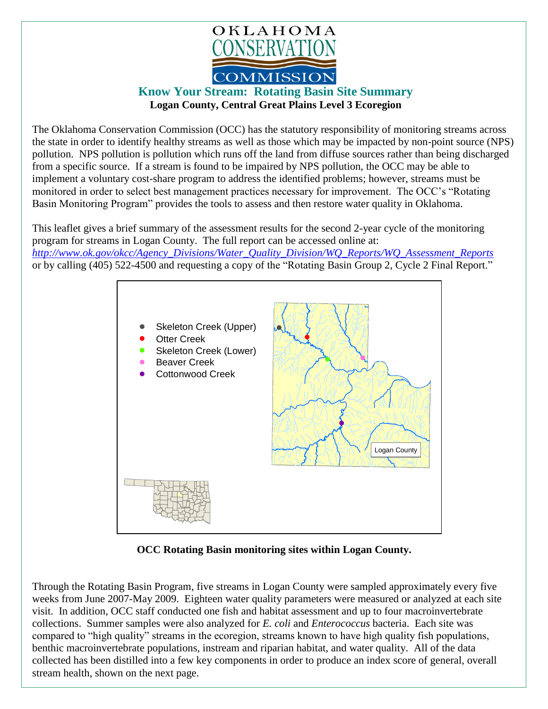

## **Know Your Stream: Rotating Basin Site Summary Logan County, Central Great Plains Level 3 Ecoregion**

The Oklahoma Conservation Commission (OCC) has the statutory responsibility of monitoring streams across the state in order to identify healthy streams as well as those which may be impacted by non-point source (NPS) pollution. NPS pollution is pollution which runs off the land from diffuse sources rather than being discharged from a specific source. If a stream is found to be impaired by NPS pollution, the OCC may be able to implement a voluntary cost-share program to address the identified problems; however, streams must be monitored in order to select best management practices necessary for improvement. The OCC's "Rotating Basin Monitoring Program" provides the tools to assess and then restore water quality in Oklahoma.

This leaflet gives a brief summary of the assessment results for the second 2-year cycle of the monitoring program for streams in Logan County. The full report can be accessed online at: *[http://www.ok.gov/okcc/Agency\\_Divisions/Water\\_Quality\\_Division/WQ\\_Reports/WQ\\_Assessment\\_Reports](http://www.ok.gov/okcc/Agency_Divisions/Water_Quality_Division/WQ_Reports/WQ_Assessment_Reports)* or by calling (405) 522-4500 and requesting a copy of the "Rotating Basin Group 2, Cycle 2 Final Report."



 **OCC Rotating Basin monitoring sites within Logan County.**

Through the Rotating Basin Program, five streams in Logan County were sampled approximately every five weeks from June 2007-May 2009. Eighteen water quality parameters were measured or analyzed at each site visit. In addition, OCC staff conducted one fish and habitat assessment and up to four macroinvertebrate collections. Summer samples were also analyzed for *E. coli* and *Enterococcus* bacteria. Each site was compared to "high quality" streams in the ecoregion, streams known to have high quality fish populations, benthic macroinvertebrate populations, instream and riparian habitat, and water quality. All of the data collected has been distilled into a few key components in order to produce an index score of general, overall stream health, shown on the next page.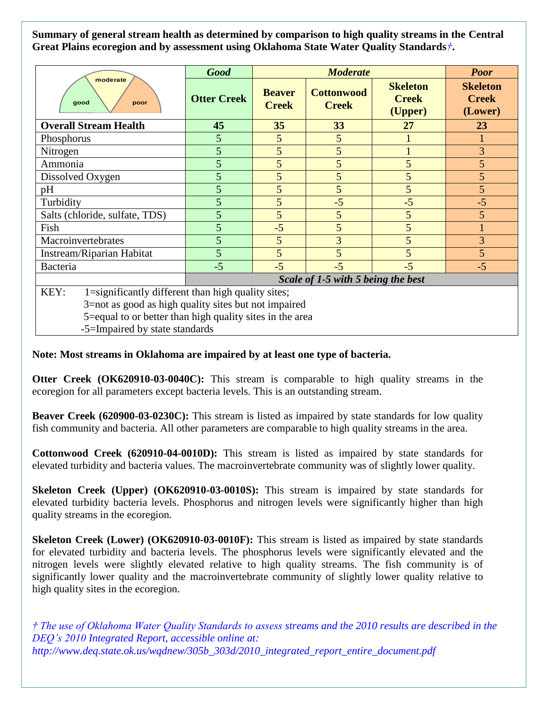**Summary of general stream health as determined by comparison to high quality streams in the Central Great Plains ecoregion and by assessment using Oklahoma State Water Quality Standards***†***.**

| moderate<br>good<br>poor                                   | <b>Good</b>                        | <b>Moderate</b>               |                                   |                                            | <b>Poor</b>                                |
|------------------------------------------------------------|------------------------------------|-------------------------------|-----------------------------------|--------------------------------------------|--------------------------------------------|
|                                                            | <b>Otter Creek</b>                 | <b>Beaver</b><br><b>Creek</b> | <b>Cottonwood</b><br><b>Creek</b> | <b>Skeleton</b><br><b>Creek</b><br>(Upper) | <b>Skeleton</b><br><b>Creek</b><br>(Lower) |
| <b>Overall Stream Health</b>                               | 45                                 | 35                            | 33                                | 27                                         | 23                                         |
| Phosphorus                                                 | 5                                  | 5                             | 5                                 |                                            |                                            |
| Nitrogen                                                   | 5                                  | 5                             | 5                                 |                                            | 3                                          |
| Ammonia                                                    | 5                                  | 5                             | 5                                 | 5                                          | 5                                          |
| Dissolved Oxygen                                           | 5                                  | 5                             | 5                                 | 5                                          | 5                                          |
| pH                                                         | 5                                  | 5                             | 5                                 | 5                                          | $\overline{5}$                             |
| Turbidity                                                  | 5                                  | 5                             | $-5$                              | $-5$                                       | $-5$                                       |
| Salts (chloride, sulfate, TDS)                             | 5                                  | 5                             | 5                                 | 5                                          | 5                                          |
| Fish                                                       | 5                                  | $-5$                          | 5                                 | 5                                          |                                            |
| Macroinvertebrates                                         | 5                                  | 5                             | 3                                 | 5                                          | $\overline{3}$                             |
| Instream/Riparian Habitat                                  | 5                                  | 5                             | 5                                 | 5                                          | $\overline{5}$                             |
| Bacteria                                                   | $-5$                               | $-5$                          | $-5$                              | $-5$                                       | $-5$                                       |
|                                                            | Scale of 1-5 with 5 being the best |                               |                                   |                                            |                                            |
| KEY:<br>1=significantly different than high quality sites; |                                    |                               |                                   |                                            |                                            |
| 3=not as good as high quality sites but not impaired       |                                    |                               |                                   |                                            |                                            |
| 5=equal to or better than high quality sites in the area   |                                    |                               |                                   |                                            |                                            |

-5=Impaired by state standards

## **Note: Most streams in Oklahoma are impaired by at least one type of bacteria.**

**Otter Creek (OK620910-03-0040C):** This stream is comparable to high quality streams in the ecoregion for all parameters except bacteria levels. This is an outstanding stream.

**Beaver Creek (620900-03-0230C):** This stream is listed as impaired by state standards for low quality fish community and bacteria. All other parameters are comparable to high quality streams in the area.

**Cottonwood Creek (620910-04-0010D):** This stream is listed as impaired by state standards for elevated turbidity and bacteria values. The macroinvertebrate community was of slightly lower quality.

**Skeleton Creek (Upper) (OK620910-03-0010S):** This stream is impaired by state standards for elevated turbidity bacteria levels. Phosphorus and nitrogen levels were significantly higher than high quality streams in the ecoregion.

**Skeleton Creek (Lower) (OK620910-03-0010F):** This stream is listed as impaired by state standards for elevated turbidity and bacteria levels. The phosphorus levels were significantly elevated and the nitrogen levels were slightly elevated relative to high quality streams. The fish community is of significantly lower quality and the macroinvertebrate community of slightly lower quality relative to high quality sites in the ecoregion.

*† The use of Oklahoma Water Quality Standards to assess streams and the 2010 results are described in the DEQ's 2010 Integrated Report, accessible online at: http://www.deq.state.ok.us/wqdnew/305b\_303d/2010\_integrated\_report\_entire\_document.pdf*